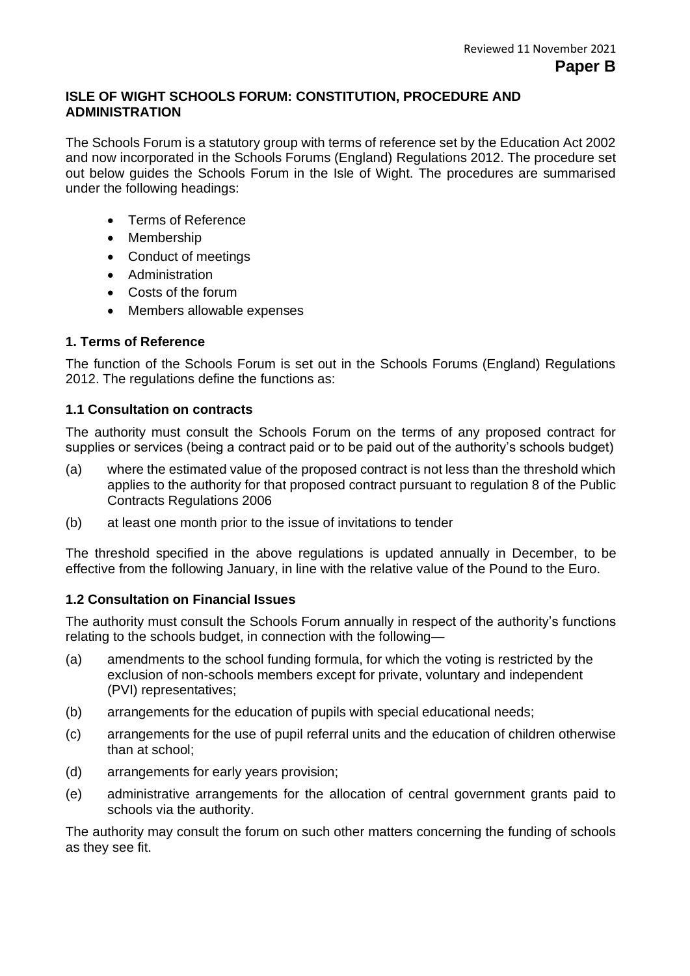#### **ISLE OF WIGHT SCHOOLS FORUM: CONSTITUTION, PROCEDURE AND ADMINISTRATION**

The Schools Forum is a statutory group with terms of reference set by the Education Act 2002 and now incorporated in the Schools Forums (England) Regulations 2012. The procedure set out below guides the Schools Forum in the Isle of Wight. The procedures are summarised under the following headings:

- Terms of Reference
- Membership
- Conduct of meetings
- Administration
- Costs of the forum
- Members allowable expenses

#### **1. Terms of Reference**

The function of the Schools Forum is set out in the Schools Forums (England) Regulations 2012. The regulations define the functions as:

#### **1.1 Consultation on contracts**

The authority must consult the Schools Forum on the terms of any proposed contract for supplies or services (being a contract paid or to be paid out of the authority's schools budget)

- (a) where the estimated value of the proposed contract is not less than the threshold which applies to the authority for that proposed contract pursuant to regulation 8 of the Public Contracts Regulations 2006
- (b) at least one month prior to the issue of invitations to tender

The threshold specified in the above regulations is updated annually in December, to be effective from the following January, in line with the relative value of the Pound to the Euro.

#### **1.2 Consultation on Financial Issues**

The authority must consult the Schools Forum annually in respect of the authority's functions relating to the schools budget, in connection with the following—

- (a) amendments to the school funding formula, for which the voting is restricted by the exclusion of non-schools members except for private, voluntary and independent (PVI) representatives;
- (b) arrangements for the education of pupils with special educational needs;
- (c) arrangements for the use of pupil referral units and the education of children otherwise than at school;
- (d) arrangements for early years provision;
- (e) administrative arrangements for the allocation of central government grants paid to schools via the authority.

The authority may consult the forum on such other matters concerning the funding of schools as they see fit.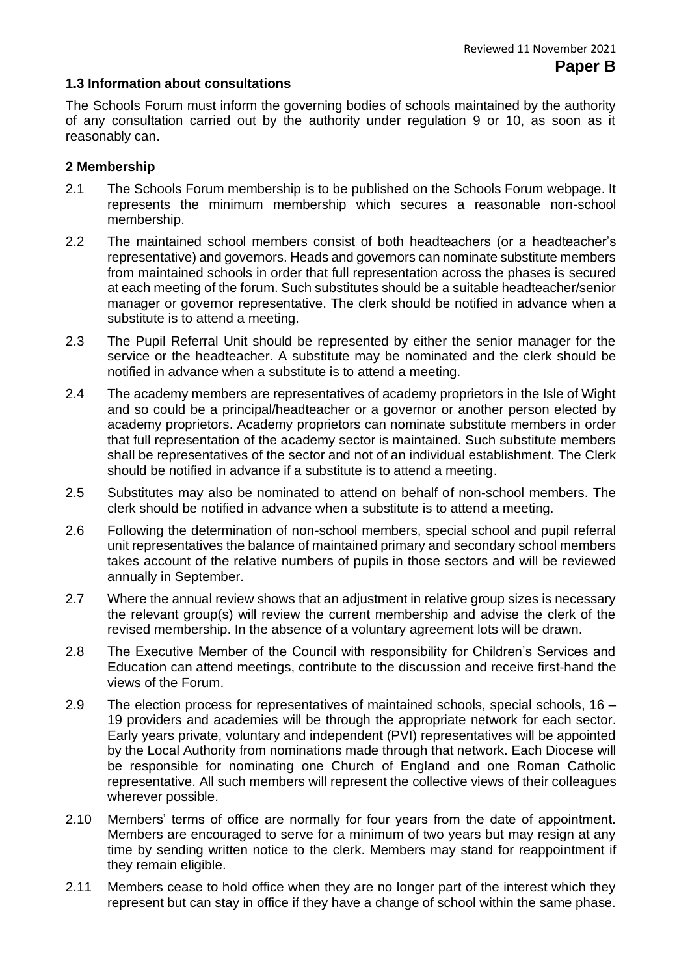#### **1.3 Information about consultations**

The Schools Forum must inform the governing bodies of schools maintained by the authority of any consultation carried out by the authority under regulation 9 or 10, as soon as it reasonably can.

#### **2 Membership**

- 2.1 The Schools Forum membership is to be published on the Schools Forum webpage. It represents the minimum membership which secures a reasonable non-school membership.
- 2.2 The maintained school members consist of both headteachers (or a headteacher's representative) and governors. Heads and governors can nominate substitute members from maintained schools in order that full representation across the phases is secured at each meeting of the forum. Such substitutes should be a suitable headteacher/senior manager or governor representative. The clerk should be notified in advance when a substitute is to attend a meeting.
- 2.3 The Pupil Referral Unit should be represented by either the senior manager for the service or the headteacher. A substitute may be nominated and the clerk should be notified in advance when a substitute is to attend a meeting.
- 2.4 The academy members are representatives of academy proprietors in the Isle of Wight and so could be a principal/headteacher or a governor or another person elected by academy proprietors. Academy proprietors can nominate substitute members in order that full representation of the academy sector is maintained. Such substitute members shall be representatives of the sector and not of an individual establishment. The Clerk should be notified in advance if a substitute is to attend a meeting.
- 2.5 Substitutes may also be nominated to attend on behalf of non-school members. The clerk should be notified in advance when a substitute is to attend a meeting.
- 2.6 Following the determination of non-school members, special school and pupil referral unit representatives the balance of maintained primary and secondary school members takes account of the relative numbers of pupils in those sectors and will be reviewed annually in September.
- 2.7 Where the annual review shows that an adjustment in relative group sizes is necessary the relevant group(s) will review the current membership and advise the clerk of the revised membership. In the absence of a voluntary agreement lots will be drawn.
- 2.8 The Executive Member of the Council with responsibility for Children's Services and Education can attend meetings, contribute to the discussion and receive first-hand the views of the Forum.
- 2.9 The election process for representatives of maintained schools, special schools, 16 19 providers and academies will be through the appropriate network for each sector. Early years private, voluntary and independent (PVI) representatives will be appointed by the Local Authority from nominations made through that network. Each Diocese will be responsible for nominating one Church of England and one Roman Catholic representative. All such members will represent the collective views of their colleagues wherever possible.
- 2.10 Members' terms of office are normally for four years from the date of appointment. Members are encouraged to serve for a minimum of two years but may resign at any time by sending written notice to the clerk. Members may stand for reappointment if they remain eligible.
- 2.11 Members cease to hold office when they are no longer part of the interest which they represent but can stay in office if they have a change of school within the same phase.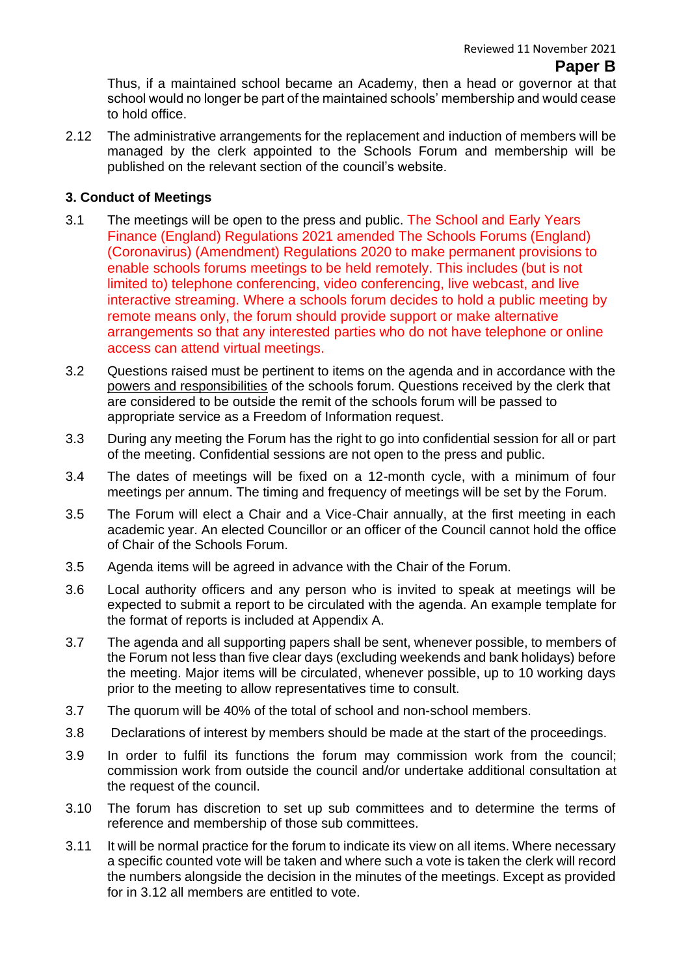### **Paper B**

Thus, if a maintained school became an Academy, then a head or governor at that school would no longer be part of the maintained schools' membership and would cease to hold office.

2.12 The administrative arrangements for the replacement and induction of members will be managed by the clerk appointed to the Schools Forum and membership will be published on the relevant section of the council's website.

#### **3. Conduct of Meetings**

- 3.1 The meetings will be open to the press and public. The School and Early Years Finance (England) Regulations 2021 amended The Schools Forums (England) (Coronavirus) (Amendment) Regulations 2020 to make permanent provisions to enable schools forums meetings to be held remotely. This includes (but is not limited to) telephone conferencing, video conferencing, live webcast, and live interactive streaming. Where a schools forum decides to hold a public meeting by remote means only, the forum should provide support or make alternative arrangements so that any interested parties who do not have telephone or online access can attend virtual meetings.
- 3.2 Questions raised must be pertinent to items on the agenda and in accordance with the [powers and responsibilities](https://www.gov.uk/government/publications/schools-forums-operational-and-good-practice-guide-2015) of the schools forum. Questions received by the clerk that are considered to be outside the remit of the schools forum will be passed to appropriate service as a Freedom of Information request.
- 3.3 During any meeting the Forum has the right to go into confidential session for all or part of the meeting. Confidential sessions are not open to the press and public.
- 3.4 The dates of meetings will be fixed on a 12-month cycle, with a minimum of four meetings per annum. The timing and frequency of meetings will be set by the Forum.
- 3.5 The Forum will elect a Chair and a Vice-Chair annually, at the first meeting in each academic year. An elected Councillor or an officer of the Council cannot hold the office of Chair of the Schools Forum.
- 3.5 Agenda items will be agreed in advance with the Chair of the Forum.
- 3.6 Local authority officers and any person who is invited to speak at meetings will be expected to submit a report to be circulated with the agenda. An example template for the format of reports is included at Appendix A.
- 3.7 The agenda and all supporting papers shall be sent, whenever possible, to members of the Forum not less than five clear days (excluding weekends and bank holidays) before the meeting. Major items will be circulated, whenever possible, up to 10 working days prior to the meeting to allow representatives time to consult.
- 3.7 The quorum will be 40% of the total of school and non-school members.
- 3.8 Declarations of interest by members should be made at the start of the proceedings.
- 3.9 In order to fulfil its functions the forum may commission work from the council; commission work from outside the council and/or undertake additional consultation at the request of the council.
- 3.10 The forum has discretion to set up sub committees and to determine the terms of reference and membership of those sub committees.
- 3.11 It will be normal practice for the forum to indicate its view on all items. Where necessary a specific counted vote will be taken and where such a vote is taken the clerk will record the numbers alongside the decision in the minutes of the meetings. Except as provided for in 3.12 all members are entitled to vote.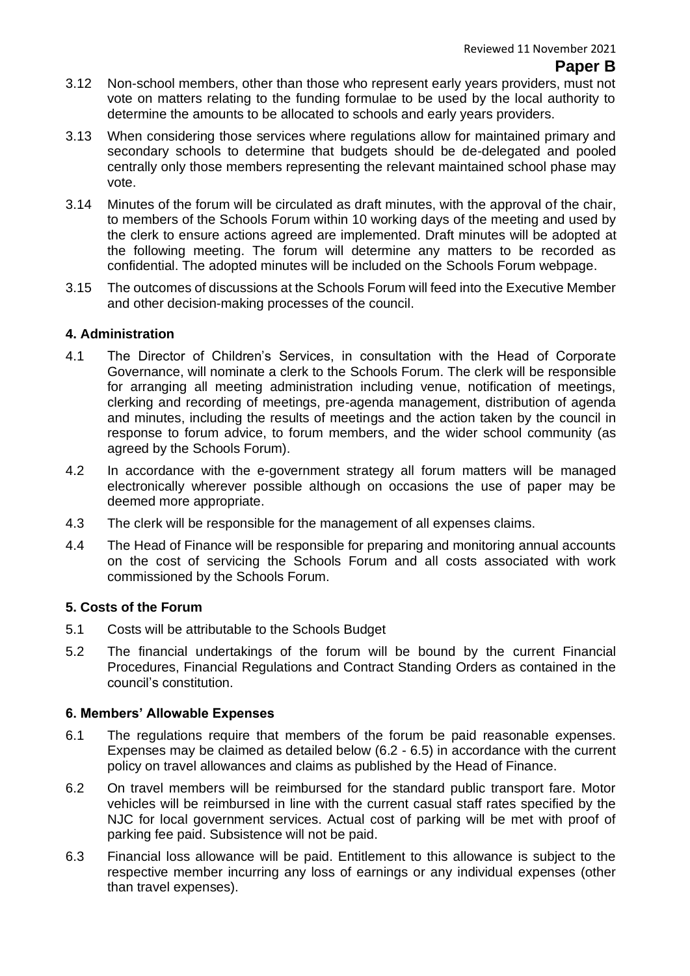#### **Paper B**

- 3.12 Non-school members, other than those who represent early years providers, must not vote on matters relating to the funding formulae to be used by the local authority to determine the amounts to be allocated to schools and early years providers.
- 3.13 When considering those services where regulations allow for maintained primary and secondary schools to determine that budgets should be de-delegated and pooled centrally only those members representing the relevant maintained school phase may vote.
- 3.14 Minutes of the forum will be circulated as draft minutes, with the approval of the chair, to members of the Schools Forum within 10 working days of the meeting and used by the clerk to ensure actions agreed are implemented. Draft minutes will be adopted at the following meeting. The forum will determine any matters to be recorded as confidential. The adopted minutes will be included on the Schools Forum webpage.
- 3.15 The outcomes of discussions at the Schools Forum will feed into the Executive Member and other decision-making processes of the council.

#### **4. Administration**

- 4.1 The Director of Children's Services, in consultation with the Head of Corporate Governance, will nominate a clerk to the Schools Forum. The clerk will be responsible for arranging all meeting administration including venue, notification of meetings, clerking and recording of meetings, pre-agenda management, distribution of agenda and minutes, including the results of meetings and the action taken by the council in response to forum advice, to forum members, and the wider school community (as agreed by the Schools Forum).
- 4.2 In accordance with the e-government strategy all forum matters will be managed electronically wherever possible although on occasions the use of paper may be deemed more appropriate.
- 4.3 The clerk will be responsible for the management of all expenses claims.
- 4.4 The Head of Finance will be responsible for preparing and monitoring annual accounts on the cost of servicing the Schools Forum and all costs associated with work commissioned by the Schools Forum.

#### **5. Costs of the Forum**

- 5.1 Costs will be attributable to the Schools Budget
- 5.2 The financial undertakings of the forum will be bound by the current Financial Procedures, Financial Regulations and Contract Standing Orders as contained in the council's constitution.

#### **6. Members' Allowable Expenses**

- 6.1 The regulations require that members of the forum be paid reasonable expenses. Expenses may be claimed as detailed below (6.2 - 6.5) in accordance with the current policy on travel allowances and claims as published by the Head of Finance.
- 6.2 On travel members will be reimbursed for the standard public transport fare. Motor vehicles will be reimbursed in line with the current casual staff rates specified by the NJC for local government services. Actual cost of parking will be met with proof of parking fee paid. Subsistence will not be paid.
- 6.3 Financial loss allowance will be paid. Entitlement to this allowance is subject to the respective member incurring any loss of earnings or any individual expenses (other than travel expenses).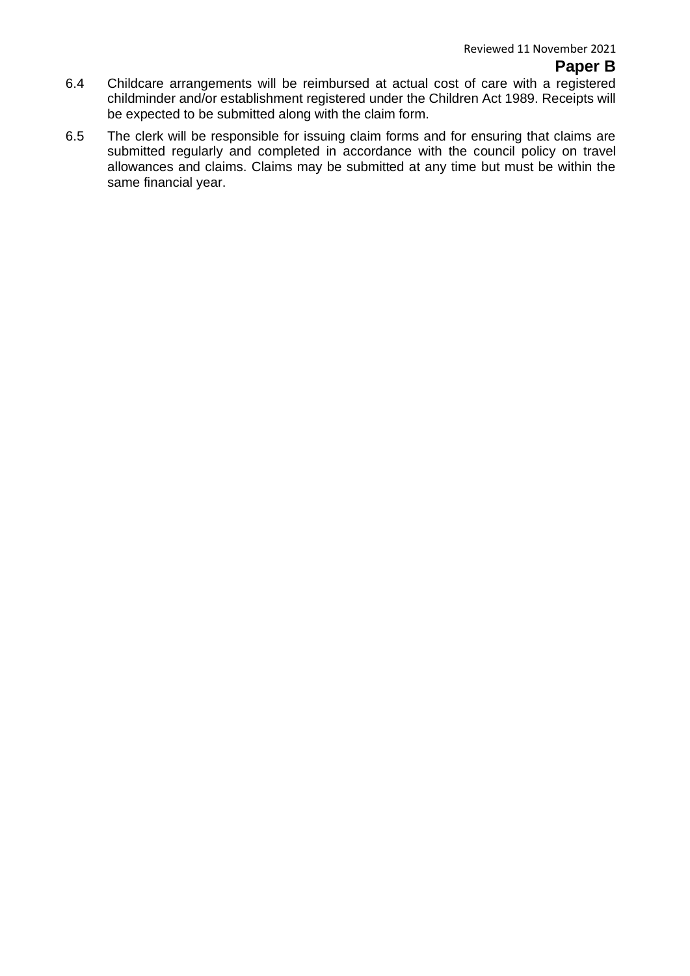#### **Paper B**

- 6.4 Childcare arrangements will be reimbursed at actual cost of care with a registered childminder and/or establishment registered under the Children Act 1989. Receipts will be expected to be submitted along with the claim form.
- 6.5 The clerk will be responsible for issuing claim forms and for ensuring that claims are submitted regularly and completed in accordance with the council policy on travel allowances and claims. Claims may be submitted at any time but must be within the same financial year.